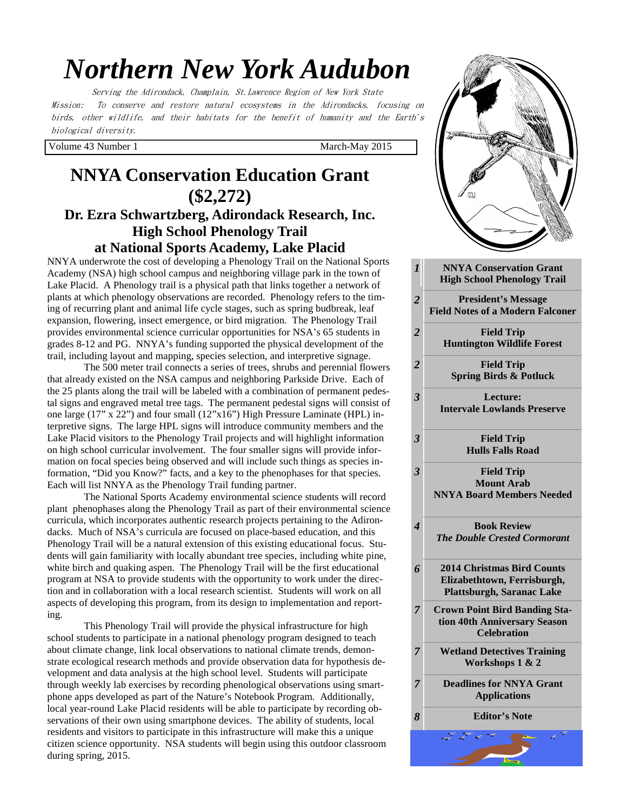# *Northern New York Audubon*

Serving the Adirondack, Champlain, St.Lawrence Region of New York State Mission: To conserve and restore natural ecosystems in the Adirondacks, focusing on birds, other wildlife, and their habitats for the benefit of humanity and the Earth's biological diversity.

Volume 43 Number 1 March-May 2015

# **NNYA Conservation Education Grant (\$2,272) Dr. Ezra Schwartzberg, Adirondack Research, Inc. High School Phenology Trail at National Sports Academy, Lake Placid**

NNYA underwrote the cost of developing a Phenology Trail on the National Sports Academy (NSA) high school campus and neighboring village park in the town of Lake Placid. A Phenology trail is a physical path that links together a network of plants at which phenology observations are recorded. Phenology refers to the timing of recurring plant and animal life cycle stages, such as spring budbreak, leaf expansion, flowering, insect emergence, or bird migration. The Phenology Trail provides environmental science curricular opportunities for NSA's 65 students in grades 8-12 and PG. NNYA's funding supported the physical development of the trail, including layout and mapping, species selection, and interpretive signage.

 The 500 meter trail connects a series of trees, shrubs and perennial flowers that already existed on the NSA campus and neighboring Parkside Drive. Each of the 25 plants along the trail will be labeled with a combination of permanent pedestal signs and engraved metal tree tags. The permanent pedestal signs will consist of one large (17" x 22") and four small (12"x16") High Pressure Laminate (HPL) interpretive signs. The large HPL signs will introduce community members and the Lake Placid visitors to the Phenology Trail projects and will highlight information on high school curricular involvement. The four smaller signs will provide information on focal species being observed and will include such things as species information, "Did you Know?" facts, and a key to the phenophases for that species. Each will list NNYA as the Phenology Trail funding partner.

 The National Sports Academy environmental science students will record plant phenophases along the Phenology Trail as part of their environmental science curricula, which incorporates authentic research projects pertaining to the Adirondacks. Much of NSA's curricula are focused on place-based education, and this Phenology Trail will be a natural extension of this existing educational focus. Students will gain familiarity with locally abundant tree species, including white pine, white birch and quaking aspen. The Phenology Trail will be the first educational program at NSA to provide students with the opportunity to work under the direction and in collaboration with a local research scientist. Students will work on all aspects of developing this program, from its design to implementation and reporting.

 This Phenology Trail will provide the physical infrastructure for high school students to participate in a national phenology program designed to teach about climate change, link local observations to national climate trends, demonstrate ecological research methods and provide observation data for hypothesis development and data analysis at the high school level. Students will participate through weekly lab exercises by recording phenological observations using smartphone apps developed as part of the Nature's Notebook Program. Additionally, local year-round Lake Placid residents will be able to participate by recording observations of their own using smartphone devices. The ability of students, local residents and visitors to participate in this infrastructure will make this a unique citizen science opportunity. NSA students will begin using this outdoor classroom during spring, 2015.

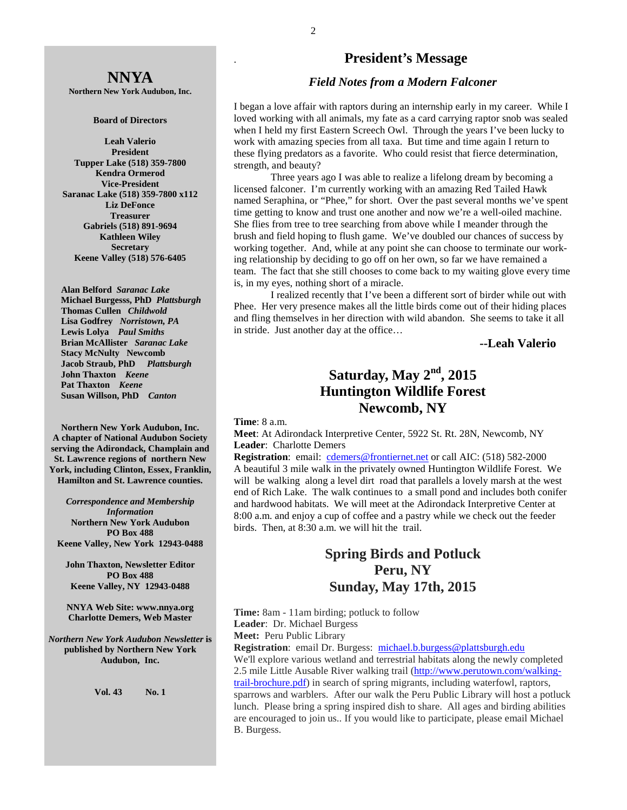# **NNYA**

**Northern New York Audubon, Inc.** 

#### **Board of Directors**

**Leah Valerio President Tupper Lake (518) 359-7800 Kendra Ormerod Vice-President Saranac Lake (518) 359-7800 x112 Liz DeFonce Treasurer Gabriels (518) 891-9694 Kathleen Wiley Secretary Keene Valley (518) 576-6405** 

 **Alan Belford** *Saranac Lake* **Michael Burgesss, PhD** *Plattsburgh*   **Thomas Cullen** *Childwold* **Lisa Godfrey** *Norristown, PA* **Lewis Lolya** *Paul Smiths*  **Brian McAllister** *Saranac Lake* **Stacy McNulty Newcomb Jacob Straub, PhD** *Plattsburgh* **John Thaxton** *Keene* **Pat Thaxton** *Keene* **Susan Willson, PhD** *Canton* 

**Northern New York Audubon, Inc. A chapter of National Audubon Society serving the Adirondack, Champlain and St. Lawrence regions of northern New York, including Clinton, Essex, Franklin, Hamilton and St. Lawrence counties.** 

*Correspondence and Membership Information* **Northern New York Audubon PO Box 488 Keene Valley, New York 12943-0488** 

**John Thaxton, Newsletter Editor PO Box 488 Keene Valley, NY 12943-0488** 

**NNYA Web Site: www.nnya.org Charlotte Demers, Web Master**

*Northern New York Audubon Newsletter* **is published by Northern New York Audubon, Inc.** 

**Vol. 43 No. 1** 

### . **President's Message**

#### *Field Notes from a Modern Falconer*

I began a love affair with raptors during an internship early in my career. While I loved working with all animals, my fate as a card carrying raptor snob was sealed when I held my first Eastern Screech Owl. Through the years I've been lucky to work with amazing species from all taxa. But time and time again I return to these flying predators as a favorite. Who could resist that fierce determination, strength, and beauty?

 Three years ago I was able to realize a lifelong dream by becoming a licensed falconer. I'm currently working with an amazing Red Tailed Hawk named Seraphina, or "Phee," for short. Over the past several months we've spent time getting to know and trust one another and now we're a well-oiled machine. She flies from tree to tree searching from above while I meander through the brush and field hoping to flush game. We've doubled our chances of success by working together. And, while at any point she can choose to terminate our working relationship by deciding to go off on her own, so far we have remained a team. The fact that she still chooses to come back to my waiting glove every time is, in my eyes, nothing short of a miracle.

 I realized recently that I've been a different sort of birder while out with Phee. Her very presence makes all the little birds come out of their hiding places and fling themselves in her direction with wild abandon. She seems to take it all in stride. Just another day at the office…

**--Leah Valerio** 

# **Saturday, May 2nd, 2015 Huntington Wildlife Forest Newcomb, NY**

#### **Time**: 8 a.m.

**Meet**: At Adirondack Interpretive Center, 5922 St. Rt. 28N, Newcomb, NY **Leader**: Charlotte Demers

**Registration**: email: cdemers@frontiernet.net or call AIC: (518) 582-2000 A beautiful 3 mile walk in the privately owned Huntington Wildlife Forest. We will be walking along a level dirt road that parallels a lovely marsh at the west end of Rich Lake. The walk continues to a small pond and includes both conifer and hardwood habitats. We will meet at the Adirondack Interpretive Center at 8:00 a.m. and enjoy a cup of coffee and a pastry while we check out the feeder birds. Then, at 8:30 a.m. we will hit the trail.

## **Spring Birds and Potluck Peru, NY Sunday, May 17th, 2015**

**Time:** 8am - 11am birding; potluck to follow **Leader**: Dr. Michael Burgess **Meet:** Peru Public Library

**Registration**: email Dr. Burgess: michael.b.burgess@plattsburgh.edu We'll explore various wetland and terrestrial habitats along the newly completed 2.5 mile Little Ausable River walking trail (http://www.perutown.com/walkingtrail-brochure.pdf) in search of spring migrants, including waterfowl, raptors, sparrows and warblers. After our walk the Peru Public Library will host a potluck lunch. Please bring a spring inspired dish to share. All ages and birding abilities are encouraged to join us.. If you would like to participate, please email Michael B. Burgess.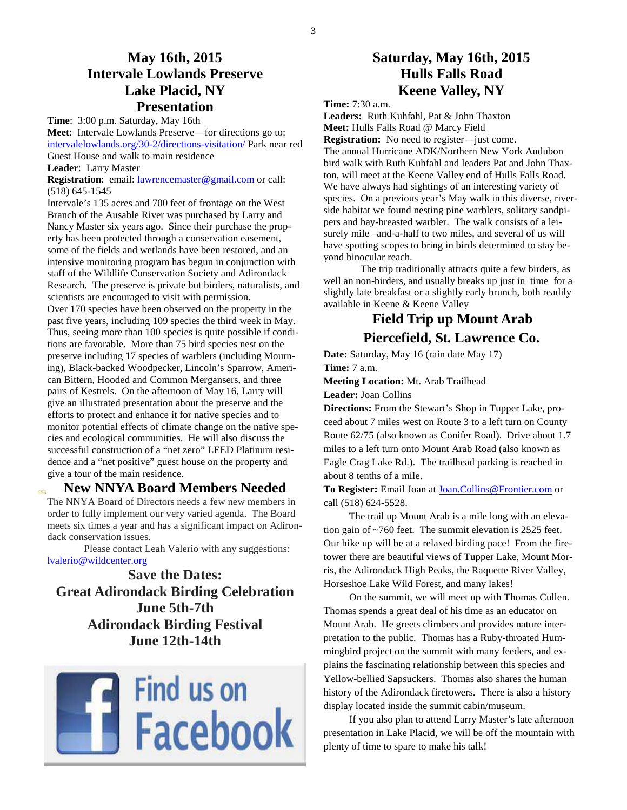## **May 16th, 2015 Intervale Lowlands Preserve Lake Placid, NY Presentation**

**Time**: 3:00 p.m. Saturday, May 16th **Meet**: Intervale Lowlands Preserve—for directions go to: intervalelowlands.org/30-2/directions-visitation/ Park near red Guest House and walk to main residence

**Leader**: Larry Master

**Registration**: email: lawrencemaster@gmail.com or call: (518) 645-1545

Intervale's 135 acres and 700 feet of frontage on the West Branch of the Ausable River was purchased by Larry and Nancy Master six years ago. Since their purchase the property has been protected through a conservation easement, some of the fields and wetlands have been restored, and an intensive monitoring program has begun in conjunction with staff of the Wildlife Conservation Society and Adirondack Research. The preserve is private but birders, naturalists, and scientists are encouraged to visit with permission. Over 170 species have been observed on the property in the past five years, including 109 species the third week in May. Thus, seeing more than 100 species is quite possible if conditions are favorable. More than 75 bird species nest on the preserve including 17 species of warblers (including Mourning), Black-backed Woodpecker, Lincoln's Sparrow, American Bittern, Hooded and Common Mergansers, and three pairs of Kestrels. On the afternoon of May 16, Larry will give an illustrated presentation about the preserve and the efforts to protect and enhance it for native species and to monitor potential effects of climate change on the native species and ecological communities. He will also discuss the successful construction of a "net zero" LEED Platinum residence and a "net positive" guest house on the property and give a tour of the main residence.

### **New NNYA Board Members Needed**

The NNYA Board of Directors needs a few new members in order to fully implement our very varied agenda. The Board meets six times a year and has a significant impact on Adirondack conservation issues.

 Please contact Leah Valerio with any suggestions: lvalerio@wildcenter.org

**Save the Dates: Great Adirondack Birding Celebration June 5th-7th Adirondack Birding Festival June 12th-14th** 



### **Saturday, May 16th, 2015 Hulls Falls Road Keene Valley, NY**

**Time:** 7:30 a.m.

**Leaders:** Ruth Kuhfahl, Pat & John Thaxton **Meet:** Hulls Falls Road @ Marcy Field **Registration:** No need to register—just come. The annual Hurricane ADK/Northern New York Audubon bird walk with Ruth Kuhfahl and leaders Pat and John Thaxton, will meet at the Keene Valley end of Hulls Falls Road. We have always had sightings of an interesting variety of species. On a previous year's May walk in this diverse, riverside habitat we found nesting pine warblers, solitary sandpipers and bay-breasted warbler. The walk consists of a leisurely mile –and-a-half to two miles, and several of us will have spotting scopes to bring in birds determined to stay beyond binocular reach.

 The trip traditionally attracts quite a few birders, as well an non-birders, and usually breaks up just in time for a slightly late breakfast or a slightly early brunch, both readily available in Keene & Keene Valley

# **Field Trip up Mount Arab Piercefield, St. Lawrence Co.**

**Date:** Saturday, May 16 (rain date May 17) **Time:** 7 a.m.

**Meeting Location:** Mt. Arab Trailhead

**Leader:** Joan Collins

**Directions:** From the Stewart's Shop in Tupper Lake, proceed about 7 miles west on Route 3 to a left turn on County Route 62/75 (also known as Conifer Road). Drive about 1.7 miles to a left turn onto Mount Arab Road (also known as Eagle Crag Lake Rd.). The trailhead parking is reached in about 8 tenths of a mile.

**To Register:** Email Joan at Joan.Collins@Frontier.com or call (518) 624-5528.

 The trail up Mount Arab is a mile long with an elevation gain of ~760 feet. The summit elevation is 2525 feet. Our hike up will be at a relaxed birding pace! From the firetower there are beautiful views of Tupper Lake, Mount Morris, the Adirondack High Peaks, the Raquette River Valley, Horseshoe Lake Wild Forest, and many lakes!

 On the summit, we will meet up with Thomas Cullen. Thomas spends a great deal of his time as an educator on Mount Arab. He greets climbers and provides nature interpretation to the public. Thomas has a Ruby-throated Hummingbird project on the summit with many feeders, and explains the fascinating relationship between this species and Yellow-bellied Sapsuckers. Thomas also shares the human history of the Adirondack firetowers. There is also a history display located inside the summit cabin/museum.

 If you also plan to attend Larry Master's late afternoon presentation in Lake Placid, we will be off the mountain with plenty of time to spare to make his talk!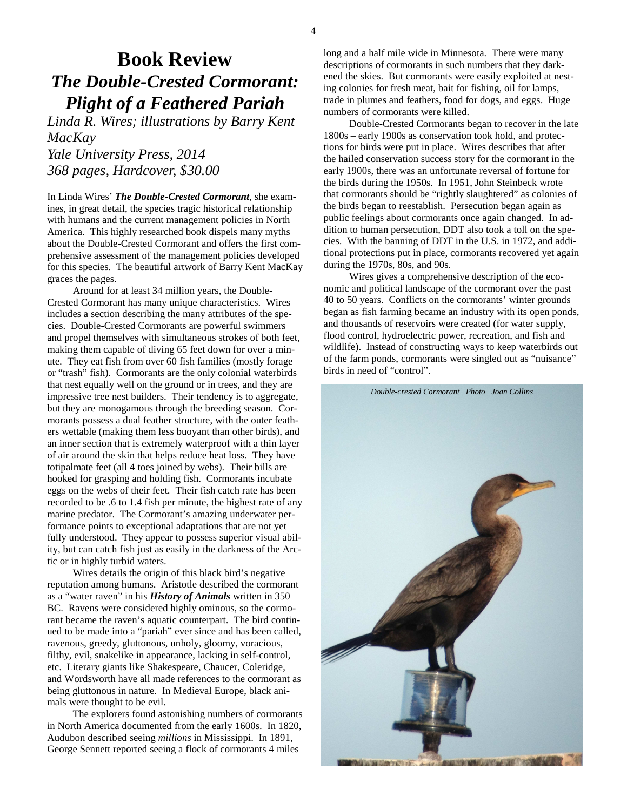# **Book Review**  *The Double-Crested Cormorant: Plight of a Feathered Pariah*

*Linda R. Wires; illustrations by Barry Kent MacKay* 

*Yale University Press, 2014 368 pages, Hardcover, \$30.00* 

In Linda Wires' *The Double-Crested Cormorant*, she examines, in great detail, the species tragic historical relationship with humans and the current management policies in North America. This highly researched book dispels many myths about the Double-Crested Cormorant and offers the first comprehensive assessment of the management policies developed for this species. The beautiful artwork of Barry Kent MacKay graces the pages.

 Around for at least 34 million years, the Double-Crested Cormorant has many unique characteristics. Wires includes a section describing the many attributes of the species. Double-Crested Cormorants are powerful swimmers and propel themselves with simultaneous strokes of both feet, making them capable of diving 65 feet down for over a minute. They eat fish from over 60 fish families (mostly forage or "trash" fish). Cormorants are the only colonial waterbirds that nest equally well on the ground or in trees, and they are impressive tree nest builders. Their tendency is to aggregate, but they are monogamous through the breeding season. Cormorants possess a dual feather structure, with the outer feathers wettable (making them less buoyant than other birds), and an inner section that is extremely waterproof with a thin layer of air around the skin that helps reduce heat loss. They have totipalmate feet (all 4 toes joined by webs). Their bills are hooked for grasping and holding fish. Cormorants incubate eggs on the webs of their feet. Their fish catch rate has been recorded to be .6 to 1.4 fish per minute, the highest rate of any marine predator. The Cormorant's amazing underwater performance points to exceptional adaptations that are not yet fully understood. They appear to possess superior visual ability, but can catch fish just as easily in the darkness of the Arctic or in highly turbid waters.

 Wires details the origin of this black bird's negative reputation among humans. Aristotle described the cormorant as a "water raven" in his *History of Animals* written in 350 BC. Ravens were considered highly ominous, so the cormorant became the raven's aquatic counterpart. The bird continued to be made into a "pariah" ever since and has been called, ravenous, greedy, gluttonous, unholy, gloomy, voracious, filthy, evil, snakelike in appearance, lacking in self-control, etc. Literary giants like Shakespeare, Chaucer, Coleridge, and Wordsworth have all made references to the cormorant as being gluttonous in nature. In Medieval Europe, black animals were thought to be evil.

 The explorers found astonishing numbers of cormorants in North America documented from the early 1600s. In 1820, Audubon described seeing *millions* in Mississippi. In 1891, George Sennett reported seeing a flock of cormorants 4 miles

long and a half mile wide in Minnesota. There were many descriptions of cormorants in such numbers that they darkened the skies. But cormorants were easily exploited at nesting colonies for fresh meat, bait for fishing, oil for lamps, trade in plumes and feathers, food for dogs, and eggs. Huge numbers of cormorants were killed.

 Double-Crested Cormorants began to recover in the late 1800s – early 1900s as conservation took hold, and protections for birds were put in place. Wires describes that after the hailed conservation success story for the cormorant in the early 1900s, there was an unfortunate reversal of fortune for the birds during the 1950s. In 1951, John Steinbeck wrote that cormorants should be "rightly slaughtered" as colonies of the birds began to reestablish. Persecution began again as public feelings about cormorants once again changed. In addition to human persecution, DDT also took a toll on the species. With the banning of DDT in the U.S. in 1972, and additional protections put in place, cormorants recovered yet again during the 1970s, 80s, and 90s.

 Wires gives a comprehensive description of the economic and political landscape of the cormorant over the past 40 to 50 years. Conflicts on the cormorants' winter grounds began as fish farming became an industry with its open ponds, and thousands of reservoirs were created (for water supply, flood control, hydroelectric power, recreation, and fish and wildlife). Instead of constructing ways to keep waterbirds out of the farm ponds, cormorants were singled out as "nuisance" birds in need of "control".



**Dell'as la diam're Chiefe**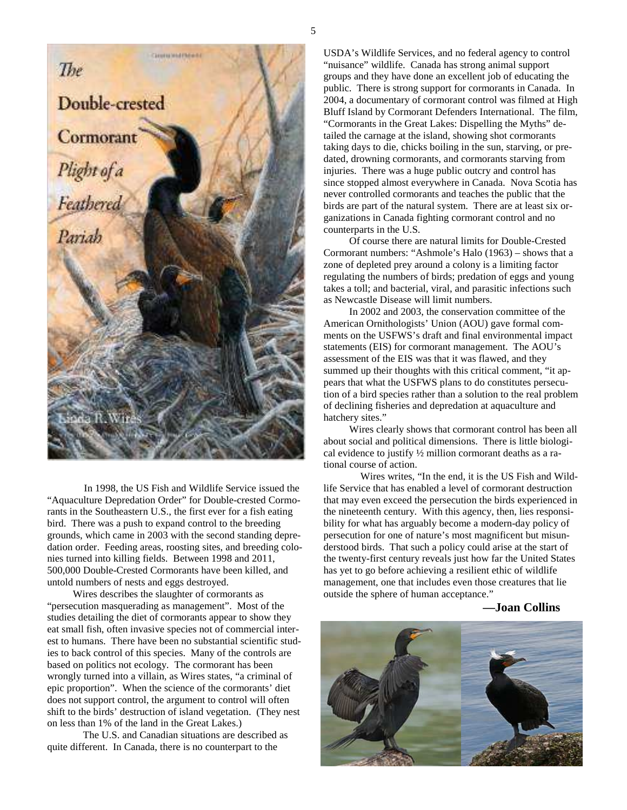

 In 1998, the US Fish and Wildlife Service issued the "Aquaculture Depredation Order" for Double-crested Cormorants in the Southeastern U.S., the first ever for a fish eating bird. There was a push to expand control to the breeding grounds, which came in 2003 with the second standing depredation order. Feeding areas, roosting sites, and breeding colonies turned into killing fields. Between 1998 and 2011, 500,000 Double-Crested Cormorants have been killed, and untold numbers of nests and eggs destroyed.

 Wires describes the slaughter of cormorants as "persecution masquerading as management". Most of the studies detailing the diet of cormorants appear to show they eat small fish, often invasive species not of commercial interest to humans. There have been no substantial scientific studies to back control of this species. Many of the controls are based on politics not ecology. The cormorant has been wrongly turned into a villain, as Wires states, "a criminal of epic proportion". When the science of the cormorants' diet does not support control, the argument to control will often shift to the birds' destruction of island vegetation. (They nest on less than 1% of the land in the Great Lakes.)

 The U.S. and Canadian situations are described as quite different. In Canada, there is no counterpart to the

USDA's Wildlife Services, and no federal agency to control "nuisance" wildlife. Canada has strong animal support groups and they have done an excellent job of educating the public. There is strong support for cormorants in Canada. In 2004, a documentary of cormorant control was filmed at High Bluff Island by Cormorant Defenders International. The film, "Cormorants in the Great Lakes: Dispelling the Myths" detailed the carnage at the island, showing shot cormorants taking days to die, chicks boiling in the sun, starving, or predated, drowning cormorants, and cormorants starving from injuries. There was a huge public outcry and control has since stopped almost everywhere in Canada. Nova Scotia has never controlled cormorants and teaches the public that the birds are part of the natural system. There are at least six organizations in Canada fighting cormorant control and no counterparts in the U.S.

 Of course there are natural limits for Double-Crested Cormorant numbers: "Ashmole's Halo (1963) – shows that a zone of depleted prey around a colony is a limiting factor regulating the numbers of birds; predation of eggs and young takes a toll; and bacterial, viral, and parasitic infections such as Newcastle Disease will limit numbers.

 In 2002 and 2003, the conservation committee of the American Ornithologists' Union (AOU) gave formal comments on the USFWS's draft and final environmental impact statements (EIS) for cormorant management. The AOU's assessment of the EIS was that it was flawed, and they summed up their thoughts with this critical comment, "it appears that what the USFWS plans to do constitutes persecution of a bird species rather than a solution to the real problem of declining fisheries and depredation at aquaculture and hatchery sites."

 Wires clearly shows that cormorant control has been all about social and political dimensions. There is little biological evidence to justify ½ million cormorant deaths as a rational course of action.

 Wires writes, "In the end, it is the US Fish and Wildlife Service that has enabled a level of cormorant destruction that may even exceed the persecution the birds experienced in the nineteenth century. With this agency, then, lies responsibility for what has arguably become a modern-day policy of persecution for one of nature's most magnificent but misunderstood birds. That such a policy could arise at the start of the twenty-first century reveals just how far the United States has yet to go before achieving a resilient ethic of wildlife management, one that includes even those creatures that lie outside the sphere of human acceptance."

**—Joan Collins**

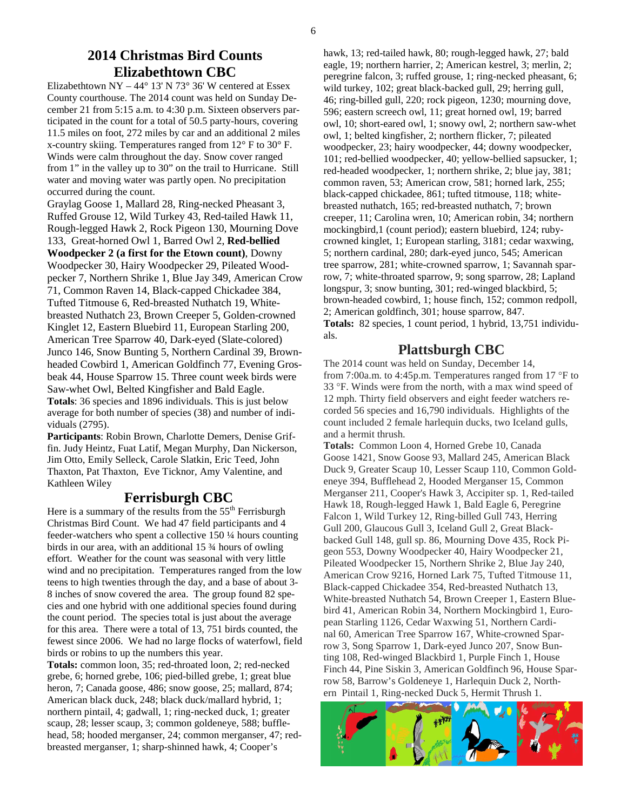### **2014 Christmas Bird Counts Elizabethtown CBC**

Elizabethtown NY – 44° 13' N 73° 36' W centered at Essex County courthouse. The 2014 count was held on Sunday December 21 from 5:15 a.m. to 4:30 p.m. Sixteen observers participated in the count for a total of 50.5 party-hours, covering 11.5 miles on foot, 272 miles by car and an additional 2 miles x-country skiing. Temperatures ranged from 12° F to 30° F. Winds were calm throughout the day. Snow cover ranged from 1" in the valley up to 30" on the trail to Hurricane. Still water and moving water was partly open. No precipitation occurred during the count.

Graylag Goose 1, Mallard 28, Ring-necked Pheasant 3, Ruffed Grouse 12, Wild Turkey 43, Red-tailed Hawk 11, Rough-legged Hawk 2, Rock Pigeon 130, Mourning Dove 133, Great-horned Owl 1, Barred Owl 2, **Red-bellied Woodpecker 2 (a first for the Etown count)**, Downy Woodpecker 30, Hairy Woodpecker 29, Pileated Woodpecker 7, Northern Shrike 1, Blue Jay 349, American Crow 71, Common Raven 14, Black-capped Chickadee 384, Tufted Titmouse 6, Red-breasted Nuthatch 19, Whitebreasted Nuthatch 23, Brown Creeper 5, Golden-crowned Kinglet 12, Eastern Bluebird 11, European Starling 200, American Tree Sparrow 40, Dark-eyed (Slate-colored) Junco 146, Snow Bunting 5, Northern Cardinal 39, Brownheaded Cowbird 1, American Goldfinch 77, Evening Grosbeak 44, House Sparrow 15. Three count week birds were Saw-whet Owl, Belted Kingfisher and Bald Eagle. **Totals**: 36 species and 1896 individuals. This is just below average for both number of species (38) and number of individuals (2795).

**Participants**: Robin Brown, Charlotte Demers, Denise Griffin. Judy Heintz, Fuat Latif, Megan Murphy, Dan Nickerson, Jim Otto, Emily Selleck, Carole Slatkin, Eric Teed, John Thaxton, Pat Thaxton, Eve Ticknor, Amy Valentine, and Kathleen Wiley

### **Ferrisburgh CBC**

Here is a summary of the results from the  $55<sup>th</sup>$  Ferrisburgh Christmas Bird Count. We had 47 field participants and 4 feeder-watchers who spent a collective 150 ¼ hours counting birds in our area, with an additional 15 ¾ hours of owling effort. Weather for the count was seasonal with very little wind and no precipitation. Temperatures ranged from the low teens to high twenties through the day, and a base of about 3- 8 inches of snow covered the area. The group found 82 species and one hybrid with one additional species found during the count period. The species total is just about the average for this area. There were a total of 13, 751 birds counted, the fewest since 2006. We had no large flocks of waterfowl, field birds or robins to up the numbers this year.

**Totals:** common loon, 35; red-throated loon, 2; red-necked grebe, 6; horned grebe, 106; pied-billed grebe, 1; great blue heron, 7; Canada goose, 486; snow goose, 25; mallard, 874; American black duck, 248; black duck/mallard hybrid, 1; northern pintail, 4; gadwall, 1; ring-necked duck, 1; greater scaup, 28; lesser scaup, 3; common goldeneye, 588; bufflehead, 58; hooded merganser, 24; common merganser, 47; redbreasted merganser, 1; sharp-shinned hawk, 4; Cooper's

hawk, 13; red-tailed hawk, 80; rough-legged hawk, 27; bald eagle, 19; northern harrier, 2; American kestrel, 3; merlin, 2; peregrine falcon, 3; ruffed grouse, 1; ring-necked pheasant, 6; wild turkey, 102; great black-backed gull, 29; herring gull, 46; ring-billed gull, 220; rock pigeon, 1230; mourning dove, 596; eastern screech owl, 11; great horned owl, 19; barred owl, 10; short-eared owl, 1; snowy owl, 2; northern saw-whet owl, 1; belted kingfisher, 2; northern flicker, 7; pileated woodpecker, 23; hairy woodpecker, 44; downy woodpecker, 101; red-bellied woodpecker, 40; yellow-bellied sapsucker, 1; red-headed woodpecker, 1; northern shrike, 2; blue jay, 381; common raven, 53; American crow, 581; horned lark, 255; black-capped chickadee, 861; tufted titmouse, 118; whitebreasted nuthatch, 165; red-breasted nuthatch, 7; brown creeper, 11; Carolina wren, 10; American robin, 34; northern mockingbird,1 (count period); eastern bluebird, 124; rubycrowned kinglet, 1; European starling, 3181; cedar waxwing, 5; northern cardinal, 280; dark-eyed junco, 545; American tree sparrow, 281; white-crowned sparrow, 1; Savannah sparrow, 7; white-throated sparrow, 9; song sparrow, 28; Lapland longspur, 3; snow bunting, 301; red-winged blackbird, 5; brown-headed cowbird, 1; house finch, 152; common redpoll, 2; American goldfinch, 301; house sparrow, 847. **Totals:** 82 species, 1 count period, 1 hybrid, 13,751 individuals.

## **Plattsburgh CBC**

The 2014 count was held on Sunday, December 14, from 7:00a.m. to 4:45p.m. Temperatures ranged from 17 °F to 33 °F. Winds were from the north, with a max wind speed of 12 mph. Thirty field observers and eight feeder watchers recorded 56 species and 16,790 individuals. Highlights of the count included 2 female harlequin ducks, two Iceland gulls, and a hermit thrush.

**Totals:** Common Loon 4, Horned Grebe 10, Canada Goose 1421, Snow Goose 93, Mallard 245, American Black Duck 9, Greater Scaup 10, Lesser Scaup 110, Common Goldeneye 394, Bufflehead 2, Hooded Merganser 15, Common Merganser 211, Cooper's Hawk 3, Accipiter sp. 1, Red-tailed Hawk 18, Rough-legged Hawk 1, Bald Eagle 6, Peregrine Falcon 1, Wild Turkey 12, Ring-billed Gull 743, Herring Gull 200, Glaucous Gull 3, Iceland Gull 2, Great Blackbacked Gull 148, gull sp. 86, Mourning Dove 435, Rock Pigeon 553, Downy Woodpecker 40, Hairy Woodpecker 21, Pileated Woodpecker 15, Northern Shrike 2, Blue Jay 240, American Crow 9216, Horned Lark 75, Tufted Titmouse 11, Black-capped Chickadee 354, Red-breasted Nuthatch 13, White-breasted Nuthatch 54, Brown Creeper 1, Eastern Bluebird 41, American Robin 34, Northern Mockingbird 1, European Starling 1126, Cedar Waxwing 51, Northern Cardinal 60, American Tree Sparrow 167, White-crowned Sparrow 3, Song Sparrow 1, Dark-eyed Junco 207, Snow Bunting 108, Red-winged Blackbird 1, Purple Finch 1, House Finch 44, Pine Siskin 3, American Goldfinch 96, House Sparrow 58, Barrow's Goldeneye 1, Harlequin Duck 2, Northern Pintail 1, Ring-necked Duck 5, Hermit Thrush 1.

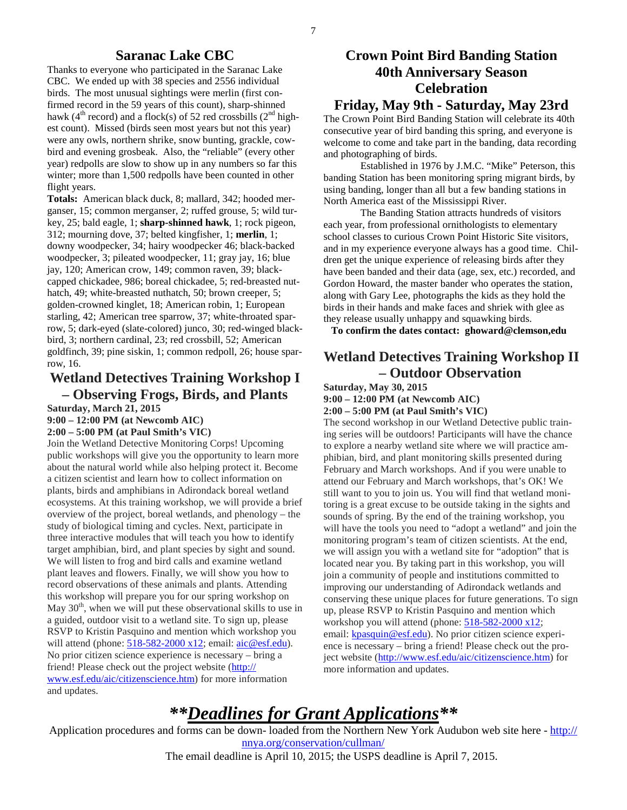### **Saranac Lake CBC**

Thanks to everyone who participated in the Saranac Lake CBC. We ended up with 38 species and 2556 individual birds. The most unusual sightings were merlin (first confirmed record in the 59 years of this count), sharp-shinned hawk ( $4<sup>th</sup>$  record) and a flock(s) of 52 red crossbills ( $2<sup>nd</sup>$  highest count). Missed (birds seen most years but not this year) were any owls, northern shrike, snow bunting, grackle, cowbird and evening grosbeak. Also, the "reliable" (every other year) redpolls are slow to show up in any numbers so far this winter; more than 1,500 redpolls have been counted in other flight years.

**Totals:** American black duck, 8; mallard, 342; hooded merganser, 15; common merganser, 2; ruffed grouse, 5; wild turkey, 25; bald eagle, 1; **sharp-shinned hawk**, 1; rock pigeon, 312; mourning dove, 37; belted kingfisher, 1; **merlin**, 1; downy woodpecker, 34; hairy woodpecker 46; black-backed woodpecker, 3; pileated woodpecker, 11; gray jay, 16; blue jay, 120; American crow, 149; common raven, 39; blackcapped chickadee, 986; boreal chickadee, 5; red-breasted nuthatch, 49; white-breasted nuthatch, 50; brown creeper, 5; golden-crowned kinglet, 18; American robin, 1; European starling, 42; American tree sparrow, 37; white-throated sparrow, 5; dark-eyed (slate-colored) junco, 30; red-winged blackbird, 3; northern cardinal, 23; red crossbill, 52; American goldfinch, 39; pine siskin, 1; common redpoll, 26; house sparrow, 16.

### **Wetland Detectives Training Workshop I – Observing Frogs, Birds, and Plants**

**Saturday, March 21, 2015** 

**9:00 – 12:00 PM (at Newcomb AIC)** 

**2:00 – 5:00 PM (at Paul Smith's VIC)** 

Join the Wetland Detective Monitoring Corps! Upcoming public workshops will give you the opportunity to learn more about the natural world while also helping protect it. Become a citizen scientist and learn how to collect information on plants, birds and amphibians in Adirondack boreal wetland ecosystems. At this training workshop, we will provide a brief overview of the project, boreal wetlands, and phenology – the study of biological timing and cycles. Next, participate in three interactive modules that will teach you how to identify target amphibian, bird, and plant species by sight and sound. We will listen to frog and bird calls and examine wetland plant leaves and flowers. Finally, we will show you how to record observations of these animals and plants. Attending this workshop will prepare you for our spring workshop on May  $30<sup>th</sup>$ , when we will put these observational skills to use in a guided, outdoor visit to a wetland site. To sign up, please RSVP to Kristin Pasquino and mention which workshop you will attend (phone:  $518-582-2000 \times 12$ ; email:  $\text{aic} @ \text{esf.edu})$ . No prior citizen science experience is necessary – bring a friend! Please check out the project website (http:// www.esf.edu/aic/citizenscience.htm) for more information and updates.

# **Crown Point Bird Banding Station 40th Anniversary Season Celebration**

### **Friday, May 9th - Saturday, May 23rd**

The Crown Point Bird Banding Station will celebrate its 40th consecutive year of bird banding this spring, and everyone is welcome to come and take part in the banding, data recording and photographing of birds.

 Established in 1976 by J.M.C. "Mike" Peterson, this banding Station has been monitoring spring migrant birds, by using banding, longer than all but a few banding stations in North America east of the Mississippi River.

 The Banding Station attracts hundreds of visitors each year, from professional ornithologists to elementary school classes to curious Crown Point Historic Site visitors, and in my experience everyone always has a good time. Children get the unique experience of releasing birds after they have been banded and their data (age, sex, etc.) recorded, and Gordon Howard, the master bander who operates the station, along with Gary Lee, photographs the kids as they hold the birds in their hands and make faces and shriek with glee as they release usually unhappy and squawking birds.

**To confirm the dates contact: ghoward@clemson,edu** 

# **Wetland Detectives Training Workshop II – Outdoor Observation**

**Saturday, May 30, 2015** 

**9:00 – 12:00 PM (at Newcomb AIC) 2:00 – 5:00 PM (at Paul Smith's VIC)** 

The second workshop in our Wetland Detective public training series will be outdoors! Participants will have the chance to explore a nearby wetland site where we will practice amphibian, bird, and plant monitoring skills presented during February and March workshops. And if you were unable to attend our February and March workshops, that's OK! We still want to you to join us. You will find that wetland monitoring is a great excuse to be outside taking in the sights and sounds of spring. By the end of the training workshop, you will have the tools you need to "adopt a wetland" and join the monitoring program's team of citizen scientists. At the end, we will assign you with a wetland site for "adoption" that is located near you. By taking part in this workshop, you will join a community of people and institutions committed to improving our understanding of Adirondack wetlands and conserving these unique places for future generations. To sign up, please RSVP to Kristin Pasquino and mention which workshop you will attend (phone:  $518-582-2000 \times 12$ ; email: kpasquin@esf.edu). No prior citizen science experience is necessary – bring a friend! Please check out the project website (http://www.esf.edu/aic/citizenscience.htm) for more information and updates.

# *\*\*Deadlines for Grant Applications\*\**

Application procedures and forms can be down- loaded from the Northern New York Audubon web site here - http:// nnya.org/conservation/cullman/

The email deadline is April 10, 2015; the USPS deadline is April 7, 2015.